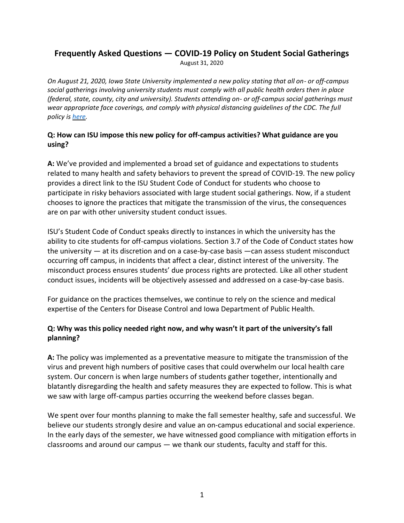# **Frequently Asked Questions — COVID-19 Policy on Student Social Gatherings**

August 31, 2020

*On August 21, 2020, Iowa State University implemented a new policy stating that all on- or off-campus social gatherings involving university students must comply with all public health orders then in place (federal, state, county, city and university). Students attending on- or off-campus social gatherings must wear appropriate face coverings, and comply with physical distancing guidelines of the CDC. The full policy i[s here.](https://www.policy.iastate.edu/policy/socialgathering)*

## **Q: How can ISU impose this new policy for off-campus activities? What guidance are you using?**

**A:** We've provided and implemented a broad set of guidance and expectations to students related to many health and safety behaviors to prevent the spread of COVID-19. The new policy provides a direct link to the ISU Student Code of Conduct for students who choose to participate in risky behaviors associated with large student social gatherings. Now, if a student chooses to ignore the practices that mitigate the transmission of the virus, the consequences are on par with other university student conduct issues.

ISU's Student Code of Conduct speaks directly to instances in which the university has the ability to cite students for off-campus violations. Section 3.7 of the Code of Conduct states how the university — at its discretion and on a case-by-case basis —can assess student misconduct occurring off campus, in incidents that affect a clear, distinct interest of the university. The misconduct process ensures students' due process rights are protected. Like all other student conduct issues, incidents will be objectively assessed and addressed on a case-by-case basis.

For guidance on the practices themselves, we continue to rely on the science and medical expertise of the Centers for Disease Control and Iowa Department of Public Health.

## **Q: Why was this policy needed right now, and why wasn't it part of the university's fall planning?**

**A:** The policy was implemented as a preventative measure to mitigate the transmission of the virus and prevent high numbers of positive cases that could overwhelm our local health care system. Our concern is when large numbers of students gather together, intentionally and blatantly disregarding the health and safety measures they are expected to follow. This is what we saw with large off-campus parties occurring the weekend before classes began.

We spent over four months planning to make the fall semester healthy, safe and successful. We believe our students strongly desire and value an on-campus educational and social experience. In the early days of the semester, we have witnessed good compliance with mitigation efforts in classrooms and around our campus — we thank our students, faculty and staff for this.